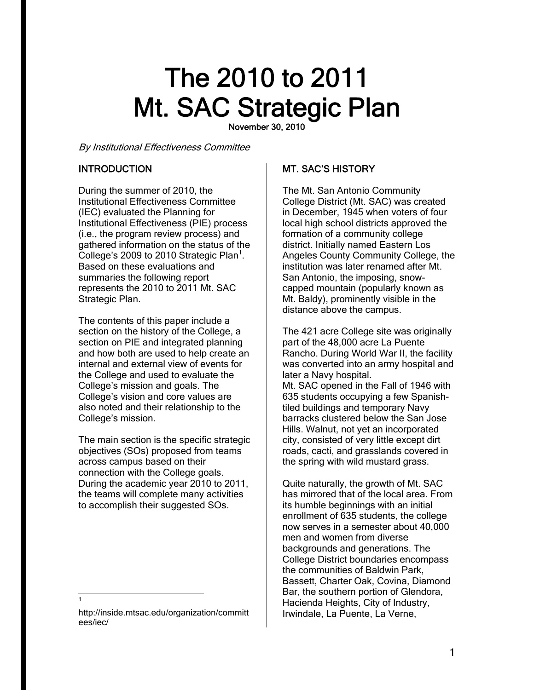# The 2010 to 2011 Mt. SAC Strategic Plan

November 30, 2010

By Institutional Effectiveness Committee

# **INTRODUCTION**

During the summer of 2010, the Institutional Effectiveness Committee (IEC) evaluated the Planning for Institutional Effectiveness (PIE) process (i.e., the program review process) and gathered information on the status of the College's 2009 to 2010 Strategic Plan<sup>1</sup>. Based on these evaluations and summaries the following report represents the 2010 to 2011 Mt. SAC Strategic Plan.

The contents of this paper include a section on the history of the College, a section on PIE and integrated planning and how both are used to help create an internal and external view of events for the College and used to evaluate the College's mission and goals. The College's vision and core values are also noted and their relationship to the College's mission.

The main section is the specific strategic objectives (SOs) proposed from teams across campus based on their connection with the College goals. During the academic year 2010 to 2011, the teams will complete many activities to accomplish their suggested SOs.

# MT. SAC'S HISTORY

The Mt. San Antonio Community College District (Mt. SAC) was created in December, 1945 when voters of four local high school districts approved the formation of a community college district. Initially named Eastern Los Angeles County Community College, the institution was later renamed after Mt. San Antonio, the imposing, snowcapped mountain (popularly known as Mt. Baldy), prominently visible in the distance above the campus.

later a Navy hospital. The 421 acre College site was originally part of the 48,000 acre La Puente Rancho. During World War II, the facility was converted into an army hospital and Mt. SAC opened in the Fall of 1946 with 635 students occupying a few Spanishtiled buildings and temporary Navy barracks clustered below the San Jose Hills. Walnut, not yet an incorporated city, consisted of very little except dirt roads, cacti, and grasslands covered in the spring with wild mustard grass.

Quite naturally, the growth of Mt. SAC has mirrored that of the local area. From its humble beginnings with an initial enrollment of 635 students, the college now serves in a semester about 40,000 men and women from diverse backgrounds and generations. The College District boundaries encompass the communities of Baldwin Park, Bassett, Charter Oak, Covina, Diamond Bar, the southern portion of Glendora, Hacienda Heights, City of Industry, Irwindale, La Puente, La Verne,

 $\overline{a}$ 1

http://inside.mtsac.edu/organization/committ ees/iec/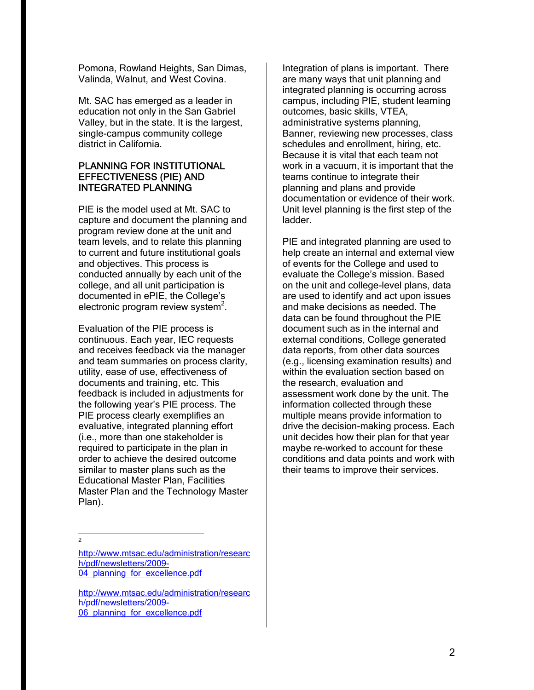Pomona, Rowland Heights, San Dimas, Valinda, Walnut, and West Covina.

Mt. SAC has emerged as a leader in education not only in the San Gabriel Valley, but in the state. It is the largest, single-campus community college district in California.

## PLANNING FOR INSTITUTIONAL EFFECTIVENESS (PIE) AND INTEGRATED PLANNING

PIE is the model used at Mt. SAC to capture and document the planning and program review done at the unit and team levels, and to relate this planning to current and future institutional goals and objectives. This process is conducted annually by each unit of the college, and all unit participation is documented in ePIE, the College's electronic program review system $2$ .

Evaluation of the PIE process is continuous. Each year, IEC requests and receives feedback via the manager and team summaries on process clarity, utility, ease of use, effectiveness of documents and training, etc. This feedback is included in adjustments for the following year's PIE process. The PIE process clearly exemplifies an evaluative, integrated planning effort (i.e., more than one stakeholder is required to participate in the plan in order to achieve the desired outcome similar to master plans such as the Educational Master Plan, Facilities Master Plan and the Technology Master Plan).

Integration of plans is important. There are many ways that unit planning and integrated planning is occurring across campus, including PIE, student learning outcomes, basic skills, VTEA, administrative systems planning, Banner, reviewing new processes, class schedules and enrollment, hiring, etc. Because it is vital that each team not work in a vacuum, it is important that the teams continue to integrate their planning and plans and provide documentation or evidence of their work. Unit level planning is the first step of the ladder.

PIE and integrated planning are used to help create an internal and external view of events for the College and used to evaluate the College's mission. Based on the unit and college-level plans, data are used to identify and act upon issues and make decisions as needed. The data can be found throughout the PIE document such as in the internal and external conditions, College generated data reports, from other data sources (e.g., licensing examination results) and within the evaluation section based on the research, evaluation and assessment work done by the unit. The information collected through these multiple means provide information to drive the decision-making process. Each unit decides how their plan for that year maybe re-worked to account for these conditions and data points and work with their teams to improve their services.

 $\frac{1}{2}$ 

http://www.mtsac.edu/administration/researc h/pdf/newsletters/2009- 04 planning for excellence.pdf

http://www.mtsac.edu/administration/researc h/pdf/newsletters/2009- 06 planning for excellence.pdf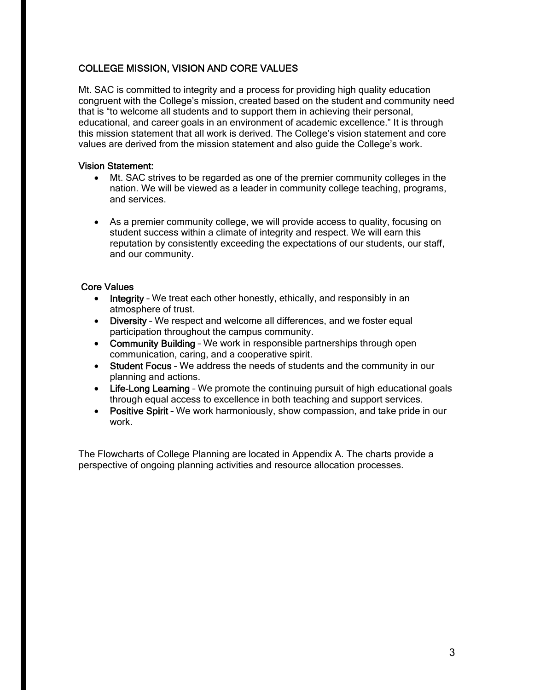# COLLEGE MISSION, VISION AND CORE VALUES

Mt. SAC is committed to integrity and a process for providing high quality education congruent with the College's mission, created based on the student and community need that is "to welcome all students and to support them in achieving their personal, educational, and career goals in an environment of academic excellence." It is through this mission statement that all work is derived. The College's vision statement and core values are derived from the mission statement and also guide the College's work.

## Vision Statement:

- Mt. SAC strives to be regarded as one of the premier community colleges in the nation. We will be viewed as a leader in community college teaching, programs, and services.
- As a premier community college, we will provide access to quality, focusing on student success within a climate of integrity and respect. We will earn this reputation by consistently exceeding the expectations of our students, our staff, and our community.

## Core Values

- Integrity We treat each other honestly, ethically, and responsibly in an atmosphere of trust.
- Diversity We respect and welcome all differences, and we foster equal participation throughout the campus community.
- Community Building We work in responsible partnerships through open communication, caring, and a cooperative spirit.
- Student Focus We address the needs of students and the community in our planning and actions.
- Life-Long Learning We promote the continuing pursuit of high educational goals through equal access to excellence in both teaching and support services.
- Positive Spirit We work harmoniously, show compassion, and take pride in our work.

The Flowcharts of College Planning are located in Appendix A. The charts provide a perspective of ongoing planning activities and resource allocation processes.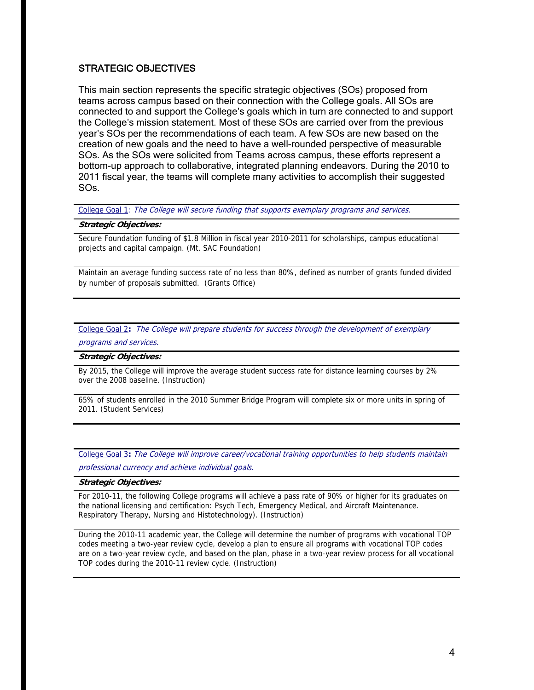# STRATEGIC OBJECTIVES

This main section represents the specific strategic objectives (SOs) proposed from teams across campus based on their connection with the College goals. All SOs are connected to and support the College's goals which in turn are connected to and support the College's mission statement. Most of these SOs are carried over from the previous year's SOs per the recommendations of each team. A few SOs are new based on the creation of new goals and the need to have a well-rounded perspective of measurable SOs. As the SOs were solicited from Teams across campus, these efforts represent a bottom-up approach to collaborative, integrated planning endeavors. During the 2010 to 2011 fiscal year, the teams will complete many activities to accomplish their suggested SOs.

College Goal 1: The College will secure funding that supports exemplary programs and services.

## **Strategic Objectives:**

Secure Foundation funding of \$1.8 Million in fiscal year 2010-2011 for scholarships, campus educational projects and capital campaign. (Mt. SAC Foundation)

Maintain an average funding success rate of no less than 80%, defined as number of grants funded divided by number of proposals submitted. (Grants Office)

College Goal 2**:** The College will prepare students for success through the development of exemplary programs and services.

### **Strategic Objectives:**

By 2015, the College will improve the average student success rate for distance learning courses by 2% over the 2008 baseline. (Instruction)

65% of students enrolled in the 2010 Summer Bridge Program will complete six or more units in spring of 2011. (Student Services)

College Goal 3**:** The College will improve career/vocational training opportunities to help students maintain professional currency and achieve individual goals.

### **Strategic Objectives:**

For 2010-11, the following College programs will achieve a pass rate of 90% or higher for its graduates on the national licensing and certification: Psych Tech, Emergency Medical, and Aircraft Maintenance. Respiratory Therapy, Nursing and Histotechnology). (Instruction)

During the 2010-11 academic year, the College will determine the number of programs with vocational TOP codes meeting a two-year review cycle, develop a plan to ensure all programs with vocational TOP codes are on a two-year review cycle, and based on the plan, phase in a two-year review process for all vocational TOP codes during the 2010-11 review cycle. (Instruction)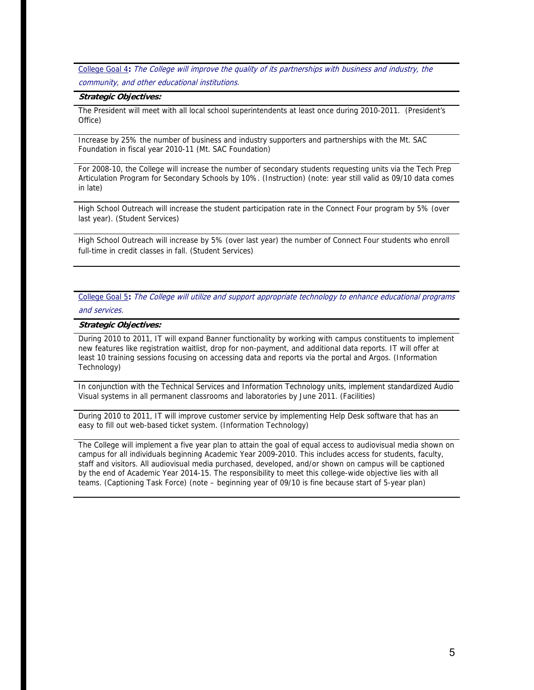College Goal 4**:** The College will improve the quality of its partnerships with business and industry, the community, and other educational institutions.

#### **Strategic Objectives:**

The President will meet with all local school superintendents at least once during 2010-2011. (President's Office)

Increase by 25% the number of business and industry supporters and partnerships with the Mt. SAC Foundation in fiscal year 2010-11 (Mt. SAC Foundation)

For 2008-10, the College will increase the number of secondary students requesting units via the Tech Prep Articulation Program for Secondary Schools by 10%. (Instruction) (note: year still valid as 09/10 data comes in late)

High School Outreach will increase the student participation rate in the Connect Four program by 5% (over last year). (Student Services)

High School Outreach will increase by 5% (over last year) the number of Connect Four students who enroll full-time in credit classes in fall. (Student Services)

College Goal 5**:** The College will utilize and support appropriate technology to enhance educational programs and services.

#### **Strategic Objectives:**

During 2010 to 2011, IT will expand Banner functionality by working with campus constituents to implement new features like registration waitlist, drop for non-payment, and additional data reports. IT will offer at least 10 training sessions focusing on accessing data and reports via the portal and Argos. (Information Technology)

In conjunction with the Technical Services and Information Technology units, implement standardized Audio Visual systems in all permanent classrooms and laboratories by June 2011. (Facilities)

During 2010 to 2011, IT will improve customer service by implementing Help Desk software that has an easy to fill out web-based ticket system. (Information Technology)

The College will implement a five year plan to attain the goal of equal access to audiovisual media shown on campus for all individuals beginning Academic Year 2009-2010. This includes access for students, faculty, staff and visitors. All audiovisual media purchased, developed, and/or shown on campus will be captioned by the end of Academic Year 2014-15. The responsibility to meet this college-wide objective lies with all teams. (Captioning Task Force) (note – beginning year of 09/10 is fine because start of 5-year plan)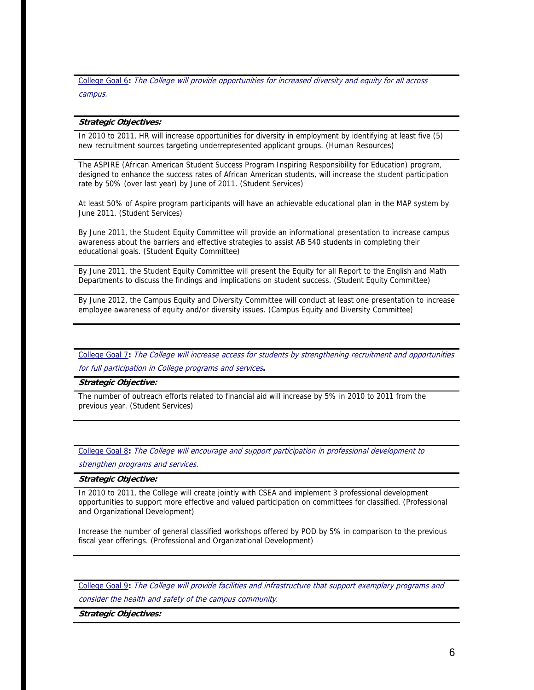College Goal 6**:** The College will provide opportunities for increased diversity and equity for all across campus.

#### **Strategic Objectives:**

In 2010 to 2011, HR will increase opportunities for diversity in employment by identifying at least five (5) new recruitment sources targeting underrepresented applicant groups. (Human Resources)

The ASPIRE (African American Student Success Program Inspiring Responsibility for Education) program, designed to enhance the success rates of African American students, will increase the student participation rate by 50% (over last year) by June of 2011. (Student Services)

At least 50% of Aspire program participants will have an achievable educational plan in the MAP system by June 2011. (Student Services)

By June 2011, the Student Equity Committee will provide an informational presentation to increase campus awareness about the barriers and effective strategies to assist AB 540 students in completing their educational goals. (Student Equity Committee)

By June 2011, the Student Equity Committee will present the Equity for all Report to the English and Math Departments to discuss the findings and implications on student success. (Student Equity Committee)

By June 2012, the Campus Equity and Diversity Committee will conduct at least one presentation to increase employee awareness of equity and/or diversity issues. (Campus Equity and Diversity Committee)

College Goal 7**:** The College will increase access for students by strengthening recruitment and opportunities for full participation in College programs and services**.** 

**Strategic Objective:** 

The number of outreach efforts related to financial aid will increase by 5% in 2010 to 2011 from the previous year. (Student Services)

College Goal 8**:** The College will encourage and support participation in professional development to strengthen programs and services.

**Strategic Objective:** 

In 2010 to 2011, the College will create jointly with CSEA and implement 3 professional development opportunities to support more effective and valued participation on committees for classified. (Professional and Organizational Development)

Increase the number of general classified workshops offered by POD by 5% in comparison to the previous fiscal year offerings. (Professional and Organizational Development)

College Goal 9**:** The College will provide facilities and infrastructure that support exemplary programs and consider the health and safety of the campus community.

**Strategic Objectives:**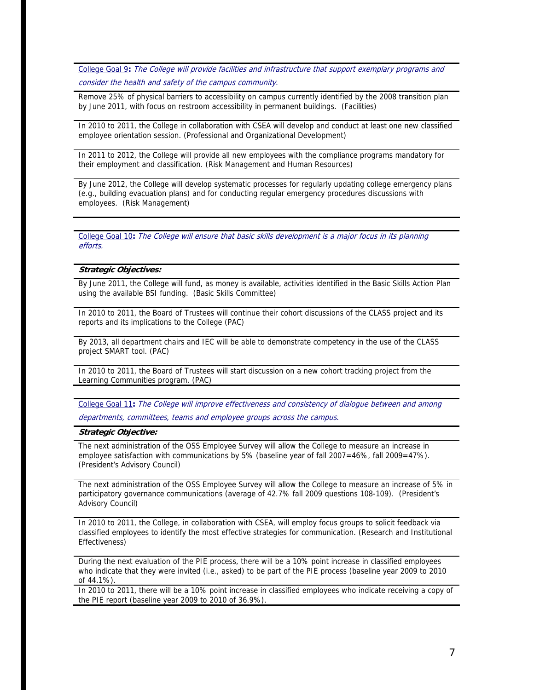College Goal 9**:** The College will provide facilities and infrastructure that support exemplary programs and consider the health and safety of the campus community.

Remove 25% of physical barriers to accessibility on campus currently identified by the 2008 transition plan by June 2011, with focus on restroom accessibility in permanent buildings. (Facilities)

In 2010 to 2011, the College in collaboration with CSEA will develop and conduct at least one new classified employee orientation session. (Professional and Organizational Development)

their employment and classification. (Risk Management and Human Resources) In 2011 to 2012, the College will provide all new employees with the compliance programs mandatory for

By June 2012, the College will develop systematic processes for regularly updating college emergency plans (e.g., building evacuation plans) and for conducting regular emergency procedures discussions with employees. (Risk Management)

College Goal 10**:** The College will ensure that basic skills development is a major focus in its planning efforts.

## **Strategic Objectives:**

By June 2011, the College will fund, as money is available, activities identified in the Basic Skills Action Plan using the available BSI funding. (Basic Skills Committee)

In 2010 to 2011, the Board of Trustees will continue their cohort discussions of the CLASS project and its reports and its implications to the College (PAC)

By 2013, all department chairs and IEC will be able to demonstrate competency in the use of the CLASS project SMART tool. (PAC)

In 2010 to 2011, the Board of Trustees will start discussion on a new cohort tracking project from the Learning Communities program. (PAC)

College Goal 11**:** The College will improve effectiveness and consistency of dialogue between and among departments, committees, teams and employee groups across the campus.

#### **Strategic Objective:**

The next administration of the OSS Employee Survey will allow the College to measure an increase in employee satisfaction with communications by 5% (baseline year of fall 2007=46%, fall 2009=47%). (President's Advisory Council)

The next administration of the OSS Employee Survey will allow the College to measure an increase of 5% in participatory governance communications (average of 42.7% fall 2009 questions 108-109). (President's Advisory Council)

In 2010 to 2011, the College, in collaboration with CSEA, will employ focus groups to solicit feedback via classified employees to identify the most effective strategies for communication. (Research and Institutional Effectiveness)

During the next evaluation of the PIE process, there will be a 10% point increase in classified employees who indicate that they were invited (i.e., asked) to be part of the PIE process (baseline year 2009 to 2010 of 44.1%)

In 2010 to 2011, there will be a 10% point increase in classified employees who indicate receiving a copy of the PIE report (baseline year 2009 to 2010 of 36.9%).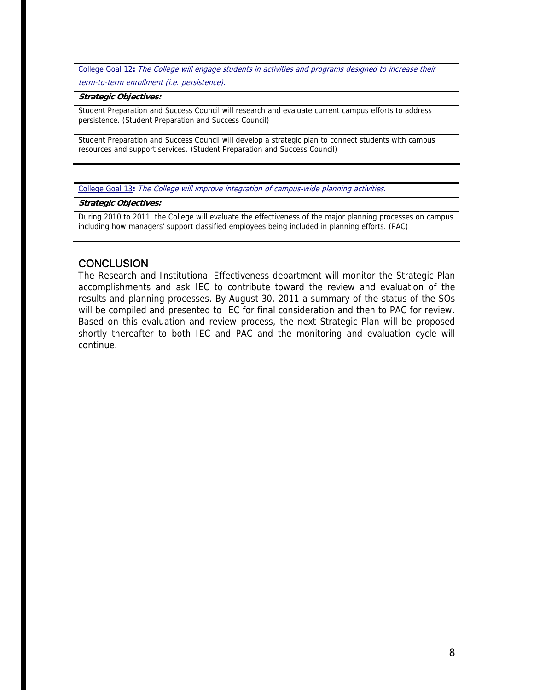College Goal 12**:** The College will engage students in activities and programs designed to increase their term-to-term enrollment (i.e. persistence).

#### **Strategic Objectives:**

Student Preparation and Success Council will research and evaluate current campus efforts to address persistence. (Student Preparation and Success Council)

Student Preparation and Success Council will develop a strategic plan to connect students with campus resources and support services. (Student Preparation and Success Council)

College Goal 13**:** The College will improve integration of campus-wide planning activities.

## **Strategic Objectives:**

During 2010 to 2011, the College will evaluate the effectiveness of the major planning processes on campus including how managers' support classified employees being included in planning efforts. (PAC)

## **CONCLUSION**

 continue. The Research and Institutional Effectiveness department will monitor the Strategic Plan accomplishments and ask IEC to contribute toward the review and evaluation of the results and planning processes. By August 30, 2011 a summary of the status of the SOs will be compiled and presented to IEC for final consideration and then to PAC for review. Based on this evaluation and review process, the next Strategic Plan will be proposed shortly thereafter to both IEC and PAC and the monitoring and evaluation cycle will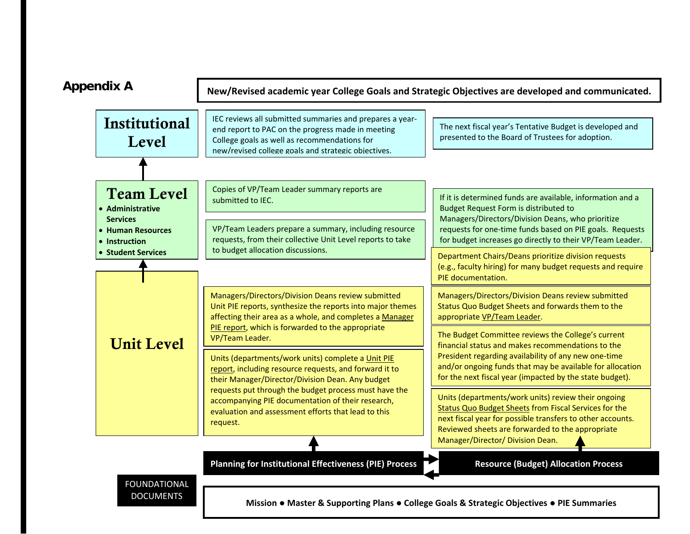

**Mission** ● **Master & Supporting Plans** ● **College Goals & Strategic Objectives** ● **PIE Summaries**